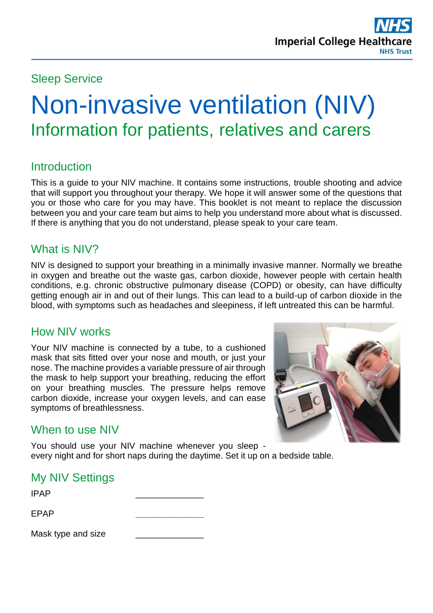## Sleep Service

# Non-invasive ventilation (NIV) Information for patients, relatives and carers

## **Introduction**

This is a guide to your NIV machine. It contains some instructions, trouble shooting and advice that will support you throughout your therapy. We hope it will answer some of the questions that you or those who care for you may have. This booklet is not meant to replace the discussion between you and your care team but aims to help you understand more about what is discussed. If there is anything that you do not understand, please speak to your care team.

#### What is NIV?

NIV is designed to support your breathing in a minimally invasive manner. Normally we breathe in oxygen and breathe out the waste gas, carbon dioxide, however people with certain health conditions, e.g. chronic obstructive pulmonary disease (COPD) or obesity, can have difficulty getting enough air in and out of their lungs. This can lead to a build-up of carbon dioxide in the blood, with symptoms such as headaches and sleepiness, if left untreated this can be harmful.

#### How NIV works

Your NIV machine is connected by a tube, to a cushioned mask that sits fitted over your nose and mouth, or just your nose. The machine provides a variable pressure of air through the mask to help support your breathing, reducing the effort on your breathing muscles. The pressure helps remove carbon dioxide, increase your oxygen levels, and can ease symptoms of breathlessness.



## When to use NIV

You should use your NIV machine whenever you sleep every night and for short naps during the daytime. Set it up on a bedside table.

## My NIV Settings

| <b>IPAP</b>        |  |
|--------------------|--|
| <b>EPAP</b>        |  |
| Mask type and size |  |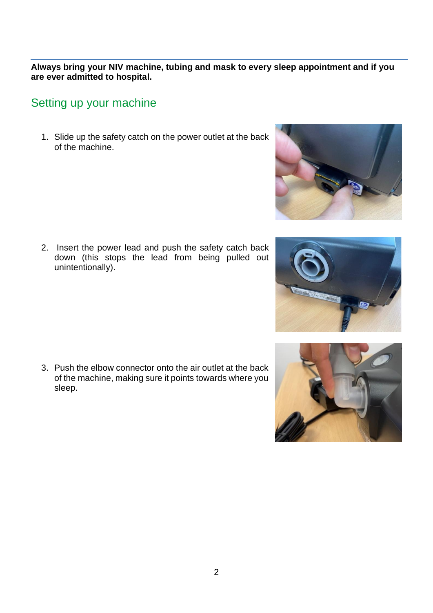**Always bring your NIV machine, tubing and mask to every sleep appointment and if you are ever admitted to hospital.**

#### Setting up your machine

1. Slide up the safety catch on the power outlet at the back of the machine.

2. Insert the power lead and push the safety catch back down (this stops the lead from being pulled out unintentionally).

3. Push the elbow connector onto the air outlet at the back of the machine, making sure it points towards where you sleep.







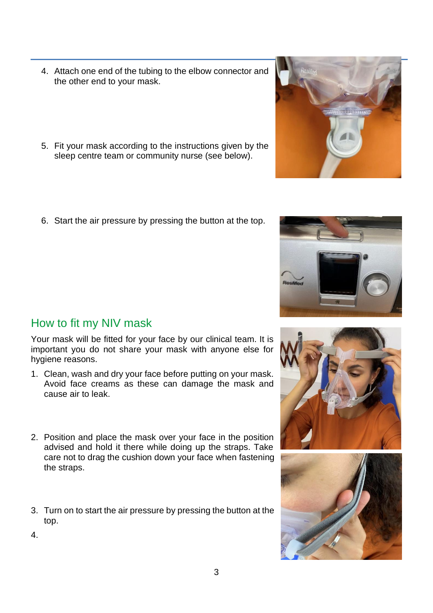- 4. Attach one end of the tubing to the elbow connector and the other end to your mask.
- 5. Fit your mask according to the instructions given by the sleep centre team or community nurse (see below).
- 6. Start the air pressure by pressing the button at the top.

How to fit my NIV mask

4.

Your mask will be fitted for your face by our clinical team. It is important you do not share your mask with anyone else for hygiene reasons.

- 1. Clean, wash and dry your face before putting on your mask. Avoid face creams as these can damage the mask and cause air to leak.
- 2. Position and place the mask over your face in the position advised and hold it there while doing up the straps. Take care not to drag the cushion down your face when fastening the straps.
- 3. Turn on to start the air pressure by pressing the button at the top.
	-

3







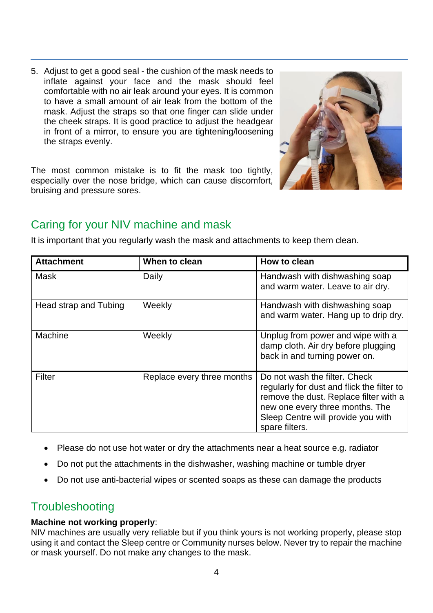5. Adjust to get a good seal - the cushion of the mask needs to inflate against your face and the mask should feel comfortable with no air leak around your eyes. It is common to have a small amount of air leak from the bottom of the mask. Adjust the straps so that one finger can slide under the cheek straps. It is good practice to adjust the headgear in front of a mirror, to ensure you are tightening/loosening the straps evenly.

The most common mistake is to fit the mask too tightly, especially over the nose bridge, which can cause discomfort, bruising and pressure sores.



# Caring for your NIV machine and mask

It is important that you regularly wash the mask and attachments to keep them clean.

| <b>Attachment</b>     | When to clean              | How to clean                                                                                                                                                                                                     |
|-----------------------|----------------------------|------------------------------------------------------------------------------------------------------------------------------------------------------------------------------------------------------------------|
| Mask                  | Daily                      | Handwash with dishwashing soap<br>and warm water. Leave to air dry.                                                                                                                                              |
| Head strap and Tubing | Weekly                     | Handwash with dishwashing soap<br>and warm water. Hang up to drip dry.                                                                                                                                           |
| Machine               | Weekly                     | Unplug from power and wipe with a<br>damp cloth. Air dry before plugging<br>back in and turning power on.                                                                                                        |
| Filter                | Replace every three months | Do not wash the filter. Check<br>regularly for dust and flick the filter to<br>remove the dust. Replace filter with a<br>new one every three months. The<br>Sleep Centre will provide you with<br>spare filters. |

- Please do not use hot water or dry the attachments near a heat source e.g. radiator
- Do not put the attachments in the dishwasher, washing machine or tumble dryer
- Do not use anti-bacterial wipes or scented soaps as these can damage the products

#### **Troubleshooting**

#### **Machine not working properly**:

NIV machines are usually very reliable but if you think yours is not working properly, please stop using it and contact the Sleep centre or Community nurses below. Never try to repair the machine or mask yourself. Do not make any changes to the mask.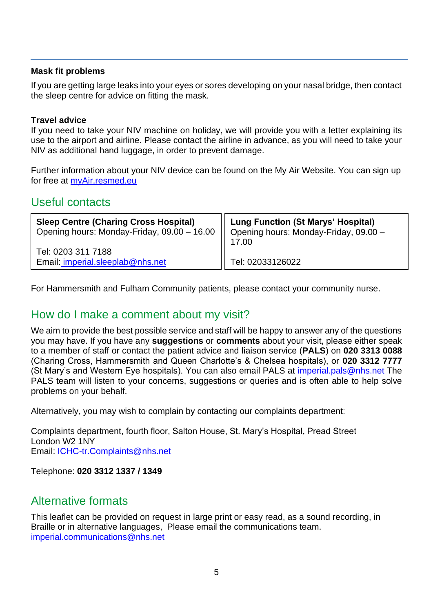#### **Mask fit problems**

If you are getting large leaks into your eyes or sores developing on your nasal bridge, then contact the sleep centre for advice on fitting the mask.

#### **Travel advice**

If you need to take your NIV machine on holiday, we will provide you with a letter explaining its use to the airport and airline. Please contact the airline in advance, as you will need to take your NIV as additional hand luggage, in order to prevent damage.

Further information about your NIV device can be found on the My Air Website. You can sign up for free at [myAir.resmed.eu](file:///C:/Users/yve/Desktop/Sleep/myAir.resmed.eu)

#### Useful contacts

| <b>Sleep Centre (Charing Cross Hospital)</b>                                        | <b>Lung Function (St Marys' Hospital)</b> |
|-------------------------------------------------------------------------------------|-------------------------------------------|
| Opening hours: Monday-Friday, 09.00 - 16.00   Opening hours: Monday-Friday, 09.00 - | 17.00                                     |
| Tel: 0203 311 7188<br>Email: imperial.sleeplab@nhs.net                              | Tel: 02033126022                          |

For Hammersmith and Fulham Community patients, please contact your community nurse.

#### How do I make a comment about my visit?

We aim to provide the best possible service and staff will be happy to answer any of the questions you may have. If you have any **suggestions** or **comments** about your visit, please either speak to a member of staff or contact the patient advice and liaison service (**PALS**) on **020 3313 0088** (Charing Cross, Hammersmith and Queen Charlotte's & Chelsea hospitals), or **020 3312 7777** (St Mary's and Western Eye hospitals). You can also email PALS at [imperial.pals@nhs.net](mailto:imperial.pals@nhs.net) The PALS team will listen to your concerns, suggestions or queries and is often able to help solve problems on your behalf.

Alternatively, you may wish to complain by contacting our complaints department:

Complaints department, fourth floor, Salton House, St. Mary's Hospital, Pread Street London W2 1NY Email: [ICHC-tr.Complaints@nhs.net](mailto:ICHC-tr.Complaints@nhs.net)

Telephone: **020 3312 1337 / 1349** 

#### Alternative formats

This leaflet can be provided on request in large print or easy read, as a sound recording, in Braille or in alternative languages, Please email the communications team. [imperial.communications@nhs.net](mailto:imperial.communications@nhs.net)